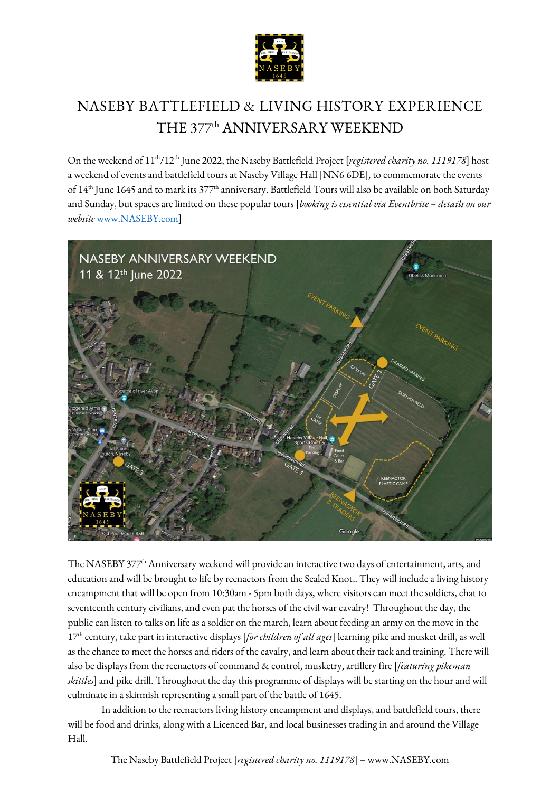

# **NASEBY BATTLEFIELD & LIVING HISTORY EXPERIENCE** THE 377th ANNIVERSARY WEEKEND

On the weekend of 11th/12th June 2022, the Naseby Battlefield Project [*registered charity no. 1119178*] host a weekend of events and battlefield tours at Naseby Village Hall [NN6 6DE], to commemorate the events of 14<sup>th</sup> June 1645 and to mark its 377<sup>th</sup> anniversary. Battlefield Tours will also be available on both Saturday and Sunday, but spaces are limited on these popular tours [*booking is essential via Eventbrite – details on our website* [www.NASEBY.com\]](http://www.naseby.com/)



The NASEBY 377<sup>th</sup> Anniversary weekend will provide an interactive two days of entertainment, arts, and education and will be brought to life by reenactors from the Sealed Knot,. They will include a living history encampment that will be open from 10:30am - 5pm both days, where visitors can meet the soldiers, chat to seventeenth century civilians, and even pat the horses of the civil war cavalry! Throughout the day, the public can listen to talks on life as a soldier on the march, learn about feeding an army on the move in the 17th century, take part in interactive displays [*for children of all ages*] learning pike and musket drill, as well as the chance to meet the horses and riders of the cavalry, and learn about their tack and training. There will also be displays from the reenactors of command & control, musketry, artillery fire [*featuring pikeman skittles*] and pike drill. Throughout the day this programme of displays will be starting on the hour and will culminate in a skirmish representing a small part of the battle of 1645.

In addition to the reenactors living history encampment and displays, and battlefield tours, there will be food and drinks, along with a Licenced Bar, and local businesses trading in and around the Village Hall.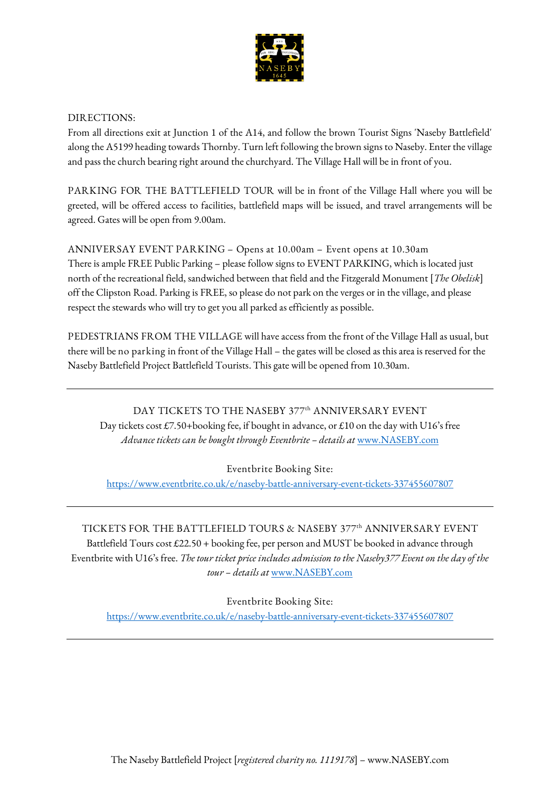

#### **DIRECTIONS:**

From all directions exit at Junction 1 of the A14, and follow the brown Tourist Signs 'Naseby Battlefield' along the A5199 heading towards Thornby. Turn left following the brown signs to Naseby. Enter the village and pass the church bearing right around the churchyard. The Village Hall will be in front of you.

**PARKING FOR THE BATTLEFIELD TOUR** will be in front of the Village Hall where you will be greeted, will be offered access to facilities, battlefield maps will be issued, and travel arrangements will be agreed. Gates will be open from 9.00am.

**ANNIVERSAY EVENT PARKING – Opens at 10.00am – Event opens at 10.30am** There is ample FREE Public Parking – please follow signs to EVENT PARKING, which is located just north of the recreational field, sandwiched between that field and the Fitzgerald Monument [*The Obelisk*] off the Clipston Road. Parking is FREE, so please do not park on the verges or in the village, and please respect the stewards who will try to get you all parked as efficiently as possible.

**PEDESTRIANS FROM THE VILLAGE** will have access from the front of the Village Hall as usual, but there will be **no parking** in front of the Village Hall – the gates will be closed as this area is reserved for the Naseby Battlefield Project Battlefield Tourists. This gate will be opened from 10.30am.

**DAY TICKETS TO THE NASEBY 377th ANNIVERSARY EVENT** Day tickets cost £7.50+booking fee, if bought in advance, or £10 on the day with U16's free *Advance tickets can be bought through Eventbrite – details at* [www.NASEBY.com](http://www.naseby.com/)

**Eventbrite Booking Site:**

<https://www.eventbrite.co.uk/e/naseby-battle-anniversary-event-tickets-337455607807>

**TICKETS FOR THE BATTLEFIELD TOURS & NASEBY 377th ANNIVERSARY EVENT** Battlefield Tours cost £22.50 + booking fee, per person and MUST be booked in advance through Eventbrite with U16's free. *The tour ticket price includes admission to the Naseby377 Event on the day of the tour – details at* [www.NASEBY.com](http://www.naseby.com/)

**Eventbrite Booking Site:**

<https://www.eventbrite.co.uk/e/naseby-battle-anniversary-event-tickets-337455607807>